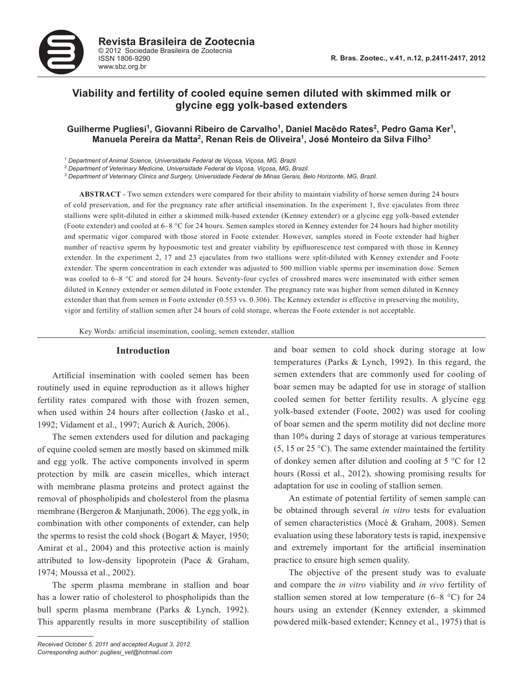



**Revista Brasileira de Zootecnia** © 2012 Sociedade Brasileira de Zootecnia ISSN 1806-9290 www.sbz.org.br

# **Viability and fertility of cooled equine semen diluted with skimmed milk or glycine egg yolk-based extenders**

# Guilherme Pugliesi<sup>1</sup>, Giovanni Ribeiro de Carvalho<sup>1</sup>, Daniel Macêdo Rates<sup>2</sup>, Pedro Gama Ker<sup>1</sup>, **Manuela Pereira da Matta<sup>2</sup> , Renan Reis de Oliveira1 , José Monteiro da Silva Filho3**

*1 Department of Animal Science, Universidade Federal de Viçosa, Viçosa, MG, Brazil.*

*2 Department of Veterinary Medicine, Universidade Federal de Viçosa, Viçosa, MG, Brazil.*

*3 Department of Veterinary Clinics and Surgery, Universidade Federal de Minas Gerais, Belo Horizonte, MG, Brazil.*

**ABSTRACT** - Two semen extenders were compared for their ability to maintain viability of horse semen during 24 hours of cold preservation, and for the pregnancy rate after artificial insemination. In the experiment 1, five ejaculates from three stallions were split-diluted in either a skimmed milk-based extender (Kenney extender) or a glycine egg yolk-based extender (Foote extender) and cooled at 6–8 °C for 24 hours. Semen samples stored in Kenney extender for 24 hours had higher motility and spermatic vigor compared with those stored in Foote extender. However, samples stored in Foote extender had higher number of reactive sperm by hypoosmotic test and greater viability by epifluorescence test compared with those in Kenney extender. In the experiment 2, 17 and 23 ejaculates from two stallions were split-diluted with Kenney extender and Foote extender. The sperm concentration in each extender was adjusted to 500 million viable sperms per insemination dose. Semen was cooled to 6–8 °C and stored for 24 hours. Seventy-four cycles of crossbred mares were inseminated with either semen diluted in Kenney extender or semen diluted in Foote extender. The pregnancy rate was higher from semen diluted in Kenney extender than that from semen in Foote extender (0.553 vs. 0.306). The Kenney extender is effective in preserving the motility, vigor and fertility of stallion semen after 24 hours of cold storage, whereas the Foote extender is not acceptable.

Key Words*:* artificial insemination, cooling, semen extender, stallion

#### **Introduction**

Artificial insemination with cooled semen has been routinely used in equine reproduction as it allows higher fertility rates compared with those with frozen semen, when used within 24 hours after collection (Jasko et al., 1992; Vidament et al., 1997; Aurich & Aurich, 2006).

The semen extenders used for dilution and packaging of equine cooled semen are mostly based on skimmed milk and egg yolk. The active components involved in sperm protection by milk are casein micelles, which interact with membrane plasma proteins and protect against the removal of phospholipids and cholesterol from the plasma membrane (Bergeron & Manjunath, 2006). The egg yolk, in combination with other components of extender, can help the sperms to resist the cold shock (Bogart & Mayer, 1950; Amirat et al., 2004) and this protective action is mainly attributed to low-density lipoprotein (Pace & Graham, 1974; Moussa et al., 2002).

The sperm plasma membrane in stallion and boar has a lower ratio of cholesterol to phospholipids than the bull sperm plasma membrane (Parks & Lynch, 1992). This apparently results in more susceptibility of stallion

*Received October 5, 2011 and accepted August 3, 2012. Corresponding author: pugliesi\_vet@hotmail.com*

and boar semen to cold shock during storage at low temperatures (Parks & Lynch, 1992). In this regard, the semen extenders that are commonly used for cooling of boar semen may be adapted for use in storage of stallion cooled semen for better fertility results. A glycine egg yolk-based extender (Foote, 2002) was used for cooling of boar semen and the sperm motility did not decline more than 10% during 2 days of storage at various temperatures (5, 15 or 25 °C). The same extender maintained the fertility of donkey semen after dilution and cooling at 5 °C for 12 hours (Rossi et al., 2012), showing promising results for adaptation for use in cooling of stallion semen.

An estimate of potential fertility of semen sample can be obtained through several *in vitro* tests for evaluation of semen characteristics (Mocé & Graham, 2008). Semen evaluation using these laboratory tests is rapid, inexpensive and extremely important for the artificial insemination practice to ensure high semen quality.

The objective of the present study was to evaluate and compare the *in vitro* viability and *in vivo* fertility of stallion semen stored at low temperature  $(6-8 \degree C)$  for 24 hours using an extender (Kenney extender, a skimmed powdered milk-based extender; Kenney et al., 1975) that is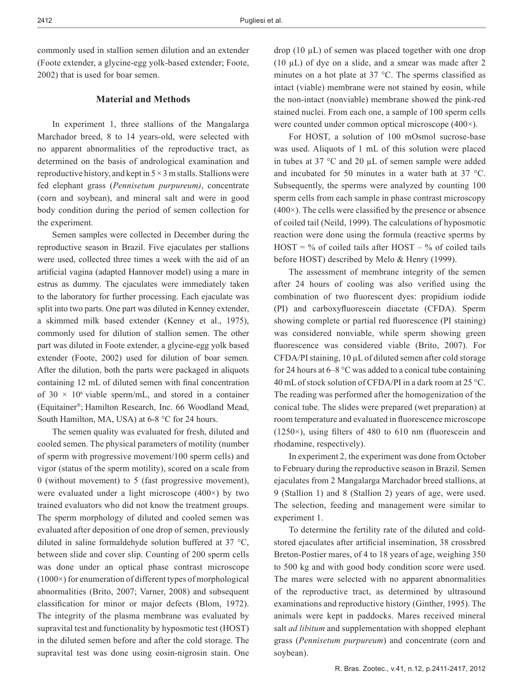commonly used in stallion semen dilution and an extender (Foote extender, a glycine-egg yolk-based extender; Foote, 2002) that is used for boar semen.

## **Material and Methods**

In experiment 1, three stallions of the Mangalarga Marchador breed, 8 to 14 years-old, were selected with no apparent abnormalities of the reproductive tract, as determined on the basis of andrological examination and reproductive history, and kept in  $5 \times 3$  m stalls. Stallions were fed elephant grass (*Pennisetum purpureum)*, concentrate (corn and soybean), and mineral salt and were in good body condition during the period of semen collection for the experiment.

Semen samples were collected in December during the reproductive season in Brazil. Five ejaculates per stallions were used, collected three times a week with the aid of an artificial vagina (adapted Hannover model) using a mare in estrus as dummy. The ejaculates were immediately taken to the laboratory for further processing. Each ejaculate was split into two parts. One part was diluted in Kenney extender, a skimmed milk based extender (Kenney et al., 1975), commonly used for dilution of stallion semen. The other part was diluted in Foote extender, a glycine-egg yolk based extender (Foote, 2002) used for dilution of boar semen. After the dilution, both the parts were packaged in aliquots containing 12 mL of diluted semen with final concentration of  $30 \times 10^6$  viable sperm/mL, and stored in a container (Equitainer®; Hamilton Research, Inc. 66 Woodland Mead, South Hamilton, MA, USA) at 6-8 °C for 24 hours.

The semen quality was evaluated for fresh, diluted and cooled semen. The physical parameters of motility (number of sperm with progressive movement/100 sperm cells) and vigor (status of the sperm motility), scored on a scale from 0 (without movement) to 5 (fast progressive movement), were evaluated under a light microscope (400×) by two trained evaluators who did not know the treatment groups. The sperm morphology of diluted and cooled semen was evaluated after deposition of one drop of semen, previously diluted in saline formaldehyde solution buffered at 37 °C, between slide and cover slip. Counting of 200 sperm cells was done under an optical phase contrast microscope  $(1000\times)$  for enumeration of different types of morphological abnormalities (Brito, 2007; Varner, 2008) and subsequent classification for minor or major defects (Blom, 1972). The integrity of the plasma membrane was evaluated by supravital test and functionality by hyposmotic test (HOST) in the diluted semen before and after the cold storage. The supravital test was done using eosin-nigrosin stain. One

drop (10 µL) of semen was placed together with one drop (10  $\mu$ L) of dye on a slide, and a smear was made after 2 minutes on a hot plate at 37 °C. The sperms classified as intact (viable) membrane were not stained by eosin, while the non-intact (nonviable) membrane showed the pink-red stained nuclei. From each one, a sample of 100 sperm cells were counted under common optical microscope (400×).

For HOST, a solution of 100 mOsmol sucrose-base was used. Aliquots of 1 mL of this solution were placed in tubes at 37 °C and 20 µL of semen sample were added and incubated for 50 minutes in a water bath at 37 °C. Subsequently, the sperms were analyzed by counting 100 sperm cells from each sample in phase contrast microscopy  $(400\times)$ . The cells were classified by the presence or absence of coiled tail (Neild, 1999). The calculations of hyposmotic reaction were done using the formula (reactive sperms by  $HOST = %$  of coiled tails after  $HOST - %$  of coiled tails before HOST) described by Melo & Henry (1999).

The assessment of membrane integrity of the semen after 24 hours of cooling was also verified using the combination of two fluorescent dyes: propidium iodide (PI) and carboxyfluorescein diacetate (CFDA). Sperm showing complete or partial red fluorescence (PI staining) was considered nonviable, while sperm showing green fluorescence was considered viable (Brito, 2007). For CFDA/PI staining, 10 µL of diluted semen after cold storage for 24 hours at  $6-8$  °C was added to a conical tube containing 40 mL of stock solution of CFDA/PI in a dark room at 25 °C. The reading was performed after the homogenization of the conical tube. The slides were prepared (wet preparation) at room temperature and evaluated in fluorescence microscope (1250×), using filters of 480 to 610 nm (fluorescein and rhodamine, respectively).

In experiment 2, the experiment was done from October to February during the reproductive season in Brazil. Semen ejaculates from 2 Mangalarga Marchador breed stallions, at 9 (Stallion 1) and 8 (Stallion 2) years of age, were used. The selection, feeding and management were similar to experiment 1.

To determine the fertility rate of the diluted and coldstored ejaculates after artificial insemination, 38 crossbred Breton-Postier mares, of 4 to 18 years of age, weighing 350 to 500 kg and with good body condition score were used. The mares were selected with no apparent abnormalities of the reproductive tract, as determined by ultrasound examinations and reproductive history (Ginther, 1995). The animals were kept in paddocks. Mares received mineral salt *ad libitum* and supplementation with shopped elephant grass (*Pennisetum purpureum*) and concentrate (corn and soybean).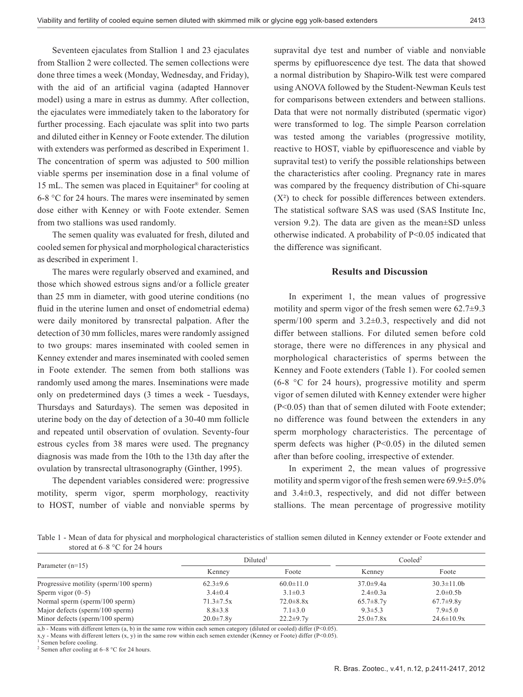Seventeen ejaculates from Stallion 1 and 23 ejaculates from Stallion 2 were collected. The semen collections were done three times a week (Monday, Wednesday, and Friday), with the aid of an artificial vagina (adapted Hannover model) using a mare in estrus as dummy. After collection, the ejaculates were immediately taken to the laboratory for further processing. Each ejaculate was split into two parts and diluted either in Kenney or Foote extender. The dilution with extenders was performed as described in Experiment 1. The concentration of sperm was adjusted to 500 million viable sperms per insemination dose in a final volume of 15 mL. The semen was placed in Equitainer® for cooling at 6-8 °C for 24 hours. The mares were inseminated by semen dose either with Kenney or with Foote extender. Semen from two stallions was used randomly.

The semen quality was evaluated for fresh, diluted and cooled semen for physical and morphological characteristics as described in experiment 1.

The mares were regularly observed and examined, and those which showed estrous signs and/or a follicle greater than 25 mm in diameter, with good uterine conditions (no fluid in the uterine lumen and onset of endometrial edema) were daily monitored by transrectal palpation. After the detection of 30 mm follicles, mares were randomly assigned to two groups: mares inseminated with cooled semen in Kenney extender and mares inseminated with cooled semen in Foote extender. The semen from both stallions was randomly used among the mares. Inseminations were made only on predetermined days (3 times a week - Tuesdays, Thursdays and Saturdays). The semen was deposited in uterine body on the day of detection of a 30-40 mm follicle and repeated until observation of ovulation. Seventy-four estrous cycles from 38 mares were used. The pregnancy diagnosis was made from the 10th to the 13th day after the ovulation by transrectal ultrasonography (Ginther, 1995).

The dependent variables considered were: progressive motility, sperm vigor, sperm morphology, reactivity to HOST, number of viable and nonviable sperms by supravital dye test and number of viable and nonviable sperms by epifluorescence dye test. The data that showed a normal distribution by Shapiro-Wilk test were compared using ANOVA followed by the Student-Newman Keuls test for comparisons between extenders and between stallions. Data that were not normally distributed (spermatic vigor) were transformed to log. The simple Pearson correlation was tested among the variables (progressive motility, reactive to HOST, viable by epifluorescence and viable by supravital test) to verify the possible relationships between the characteristics after cooling. Pregnancy rate in mares was compared by the frequency distribution of Chi-square  $(X<sup>2</sup>)$  to check for possible differences between extenders. The statistical software SAS was used (SAS Institute Inc, version 9.2). The data are given as the mean±SD unless otherwise indicated. A probability of P<0.05 indicated that the difference was significant.

## **Results and Discussion**

In experiment 1, the mean values of progressive motility and sperm vigor of the fresh semen were  $62.7\pm9.3$ sperm/100 sperm and 3.2 $\pm$ 0.3, respectively and did not differ between stallions. For diluted semen before cold storage, there were no differences in any physical and morphological characteristics of sperms between the Kenney and Foote extenders (Table 1). For cooled semen (6-8 °C for 24 hours), progressive motility and sperm vigor of semen diluted with Kenney extender were higher (P<0.05) than that of semen diluted with Foote extender; no difference was found between the extenders in any sperm morphology characteristics. The percentage of sperm defects was higher (P<0.05) in the diluted semen after than before cooling, irrespective of extender.

In experiment 2, the mean values of progressive motility and sperm vigor of the fresh semen were 69.9±5.0% and 3.4±0.3, respectively, and did not differ between stallions. The mean percentage of progressive motility

Table 1 - Mean of data for physical and morphological characteristics of stallion semen diluted in Kenney extender or Foote extender and stored at 6–8 °C for 24 hours

| Parameter $(n=15)$                     | Diluted <sup>1</sup> |                  | Cooled <sup>2</sup> |                  |
|----------------------------------------|----------------------|------------------|---------------------|------------------|
|                                        | Kenney               | Foote            | Kenney              | Foote            |
| Progressive motility (sperm/100 sperm) | $62.3 \pm 9.6$       | $60.0 \pm 11.0$  | $37.0 \pm 9.4a$     | $30.3 \pm 11.0$  |
| Sperm vigor $(0-5)$                    | $3.4\pm0.4$          | $3.1 \pm 0.3$    | $2.4 \pm 0.3a$      | $2.0 \pm 0.5$    |
| Normal sperm (sperm/100 sperm)         | $71.3 \pm 7.5x$      | $72.0 \pm 8.8x$  | $65.7 \pm 8.7$ v    | $67.7 \pm 9.8$ y |
| Major defects (sperm/100 sperm)        | $8.8 \pm 3.8$        | $7.1 \pm 3.0$    | $9.3 \pm 5.3$       | $7.9 \pm 5.0$    |
| Minor defects (sperm/100 sperm)        | $20.0 \pm 7.8$ y     | $22.2 \pm 9.7$ v | $25.0 \pm 7.8x$     | $24.6 \pm 10.9x$ |

a,b - Means with different letters (a, b) in the same row within each semen category (diluted or cooled) differ (P<0.05).

x,y - Means with different letters (x, y) in the same row within each semen extender (Kenney or Foote) differ (P<0.05).

<sup>1</sup> Semen before cooling.

2 Semen after cooling at 6–8 °C for 24 hours.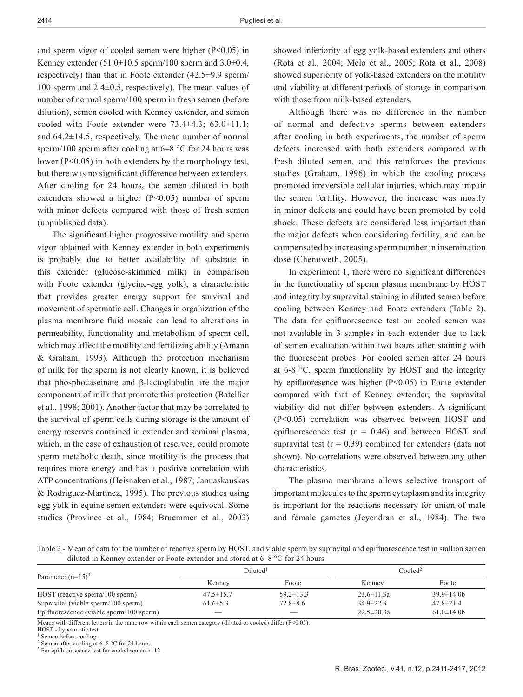and sperm vigor of cooled semen were higher (P<0.05) in Kenney extender  $(51.0 \pm 10.5 \text{ sperm}/100 \text{ sperm}$  and  $3.0 \pm 0.4$ , respectively) than that in Foote extender (42.5±9.9 sperm/ 100 sperm and 2.4±0.5, respectively). The mean values of number of normal sperm/100 sperm in fresh semen (before dilution), semen cooled with Kenney extender, and semen cooled with Foote extender were  $73.4\pm4.3$ ;  $63.0\pm11.1$ ; and 64.2±14.5, respectively. The mean number of normal sperm/100 sperm after cooling at 6–8 °C for 24 hours was lower (P<0.05) in both extenders by the morphology test, but there was no significant difference between extenders. After cooling for 24 hours, the semen diluted in both extenders showed a higher (P<0.05) number of sperm with minor defects compared with those of fresh semen (unpublished data).

The significant higher progressive motility and sperm vigor obtained with Kenney extender in both experiments is probably due to better availability of substrate in this extender (glucose-skimmed milk) in comparison with Foote extender (glycine-egg yolk), a characteristic that provides greater energy support for survival and movement of spermatic cell. Changes in organization of the plasma membrane fluid mosaic can lead to alterations in permeability, functionality and metabolism of sperm cell, which may affect the motility and fertilizing ability (Amann & Graham, 1993). Although the protection mechanism of milk for the sperm is not clearly known, it is believed that phosphocaseinate and β-lactoglobulin are the major components of milk that promote this protection (Batellier et al., 1998; 2001). Another factor that may be correlated to the survival of sperm cells during storage is the amount of energy reserves contained in extender and seminal plasma, which, in the case of exhaustion of reserves, could promote sperm metabolic death, since motility is the process that requires more energy and has a positive correlation with ATP concentrations (Heisnaken et al., 1987; Januaskauskas & Rodriguez-Martinez, 1995). The previous studies using egg yolk in equine semen extenders were equivocal. Some studies (Province et al., 1984; Bruemmer et al., 2002) showed inferiority of egg yolk-based extenders and others (Rota et al., 2004; Melo et al., 2005; Rota et al., 2008) showed superiority of yolk-based extenders on the motility and viability at different periods of storage in comparison with those from milk-based extenders.

Although there was no difference in the number of normal and defective sperms between extenders after cooling in both experiments, the number of sperm defects increased with both extenders compared with fresh diluted semen, and this reinforces the previous studies (Graham, 1996) in which the cooling process promoted irreversible cellular injuries, which may impair the semen fertility. However, the increase was mostly in minor defects and could have been promoted by cold shock. These defects are considered less important than the major defects when considering fertility, and can be compensated by increasing sperm number in insemination dose (Chenoweth, 2005).

In experiment 1, there were no significant differences in the functionality of sperm plasma membrane by HOST and integrity by supravital staining in diluted semen before cooling between Kenney and Foote extenders (Table 2). The data for epifluorescence test on cooled semen was not available in 3 samples in each extender due to lack of semen evaluation within two hours after staining with the fluorescent probes. For cooled semen after 24 hours at 6-8 °C, sperm functionality by HOST and the integrity by epifluoresence was higher (P<0.05) in Foote extender compared with that of Kenney extender; the supravital viability did not differ between extenders. A significant (P<0.05) correlation was observed between HOST and epifluorescence test  $(r = 0.46)$  and between HOST and supravital test  $(r = 0.39)$  combined for extenders (data not shown). No correlations were observed between any other characteristics.

The plasma membrane allows selective transport of important molecules to the sperm cytoplasm and its integrity is important for the reactions necessary for union of male and female gametes (Jeyendran et al., 1984). The two

Table 2 - Mean of data for the number of reactive sperm by HOST, and viable sperm by supravital and epifluorescence test in stallion semen diluted in Kenney extender or Foote extender and stored at 6–8 °C for 24 hours

|                                          | Diluted <sup>1</sup> |                 | Cooled <sup>2</sup> |                   |
|------------------------------------------|----------------------|-----------------|---------------------|-------------------|
| Parameter $(n=15)^3$                     | Kenney               | Foote           | Kenney              | Foote             |
| HOST (reactive sperm/100 sperm)          | $47.5 \pm 15.7$      | $59.2 \pm 13.3$ | $23.6 \pm 11.3a$    | $39.9 \pm 14.0$ b |
| Supravital (viable sperm/100 sperm)      | $61.6 \pm 5.3$       | $72.8 \pm 8.6$  | $34.9 \pm 22.9$     | $47.8 \pm 21.4$   |
| Epifluorescence (viable sperm/100 sperm) | __                   |                 | $22.5 \pm 20.3a$    | $61.0 \pm 14.0$ b |

Means with different letters in the same row within each semen category (diluted or cooled) differ (P<0.05).

HOST - hyposmotic test.

1 Semen before cooling.

2 Semen after cooling at 6–8 °C for 24 hours.

<sup>3</sup> For epifluorescence test for cooled semen n=12.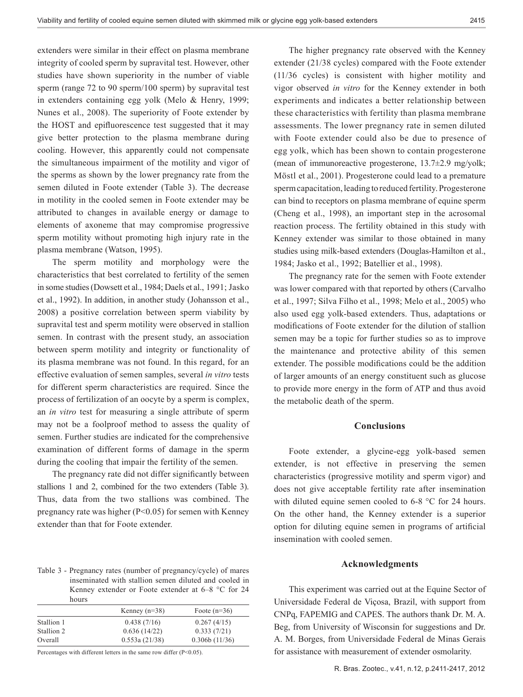extenders were similar in their effect on plasma membrane integrity of cooled sperm by supravital test. However, other studies have shown superiority in the number of viable sperm (range 72 to 90 sperm/100 sperm) by supravital test in extenders containing egg yolk (Melo & Henry, 1999; Nunes et al., 2008). The superiority of Foote extender by the HOST and epifluorescence test suggested that it may give better protection to the plasma membrane during cooling. However, this apparently could not compensate the simultaneous impairment of the motility and vigor of the sperms as shown by the lower pregnancy rate from the semen diluted in Foote extender (Table 3). The decrease in motility in the cooled semen in Foote extender may be attributed to changes in available energy or damage to elements of axoneme that may compromise progressive sperm motility without promoting high injury rate in the plasma membrane (Watson, 1995).

The sperm motility and morphology were the characteristics that best correlated to fertility of the semen in some studies (Dowsett et al., 1984; Daels et al., 1991; Jasko et al., 1992). In addition, in another study (Johansson et al., 2008) a positive correlation between sperm viability by supravital test and sperm motility were observed in stallion semen. In contrast with the present study, an association between sperm motility and integrity or functionality of its plasma membrane was not found. In this regard, for an effective evaluation of semen samples, several *in vitro* tests for different sperm characteristics are required. Since the process of fertilization of an oocyte by a sperm is complex, an *in vitro* test for measuring a single attribute of sperm may not be a foolproof method to assess the quality of semen. Further studies are indicated for the comprehensive examination of different forms of damage in the sperm during the cooling that impair the fertility of the semen.

The pregnancy rate did not differ significantly between stallions 1 and 2, combined for the two extenders (Table 3). Thus, data from the two stallions was combined. The pregnancy rate was higher  $(P<0.05)$  for semen with Kenney extender than that for Foote extender.

Table 3 - Pregnancy rates (number of pregnancy/cycle) of mares inseminated with stallion semen diluted and cooled in Kenney extender or Foote extender at 6–8 °C for 24 hours

| 110 ur 3   |                 |                |  |
|------------|-----------------|----------------|--|
|            | Kenney $(n=38)$ | Foote $(n=36)$ |  |
| Stallion 1 | 0.438(7/16)     | 0.267(4/15)    |  |
| Stallion 2 | 0.636(14/22)    | 0.333(7/21)    |  |
| Overall    | 0.553a(21/38)   | 0.306b(11/36)  |  |

Percentages with different letters in the same row differ (P<0.05).

The higher pregnancy rate observed with the Kenney extender (21/38 cycles) compared with the Foote extender (11/36 cycles) is consistent with higher motility and vigor observed *in vitro* for the Kenney extender in both experiments and indicates a better relationship between these characteristics with fertility than plasma membrane assessments. The lower pregnancy rate in semen diluted with Foote extender could also be due to presence of egg yolk, which has been shown to contain progesterone (mean of immunoreactive progesterone, 13.7±2.9 mg/yolk; Möstl et al., 2001). Progesterone could lead to a premature sperm capacitation, leading to reduced fertility. Progesterone can bind to receptors on plasma membrane of equine sperm (Cheng et al., 1998), an important step in the acrosomal reaction process. The fertility obtained in this study with Kenney extender was similar to those obtained in many studies using milk-based extenders (Douglas-Hamilton et al., 1984; Jasko et al., 1992; Batellier et al., 1998).

The pregnancy rate for the semen with Foote extender was lower compared with that reported by others (Carvalho et al., 1997; Silva Filho et al., 1998; Melo et al., 2005) who also used egg yolk-based extenders. Thus, adaptations or modifications of Foote extender for the dilution of stallion semen may be a topic for further studies so as to improve the maintenance and protective ability of this semen extender. The possible modifications could be the addition of larger amounts of an energy constituent such as glucose to provide more energy in the form of ATP and thus avoid the metabolic death of the sperm.

### **Conclusions**

Foote extender, a glycine-egg yolk-based semen extender, is not effective in preserving the semen characteristics (progressive motility and sperm vigor) and does not give acceptable fertility rate after insemination with diluted equine semen cooled to 6-8 °C for 24 hours. On the other hand, the Kenney extender is a superior option for diluting equine semen in programs of artificial insemination with cooled semen.

### **Acknowledgments**

This experiment was carried out at the Equine Sector of Universidade Federal de Viçosa, Brazil, with support from CNPq, FAPEMIG and CAPES. The authors thank Dr. M. A. Beg, from University of Wisconsin for suggestions and Dr. A. M. Borges, from Universidade Federal de Minas Gerais for assistance with measurement of extender osmolarity.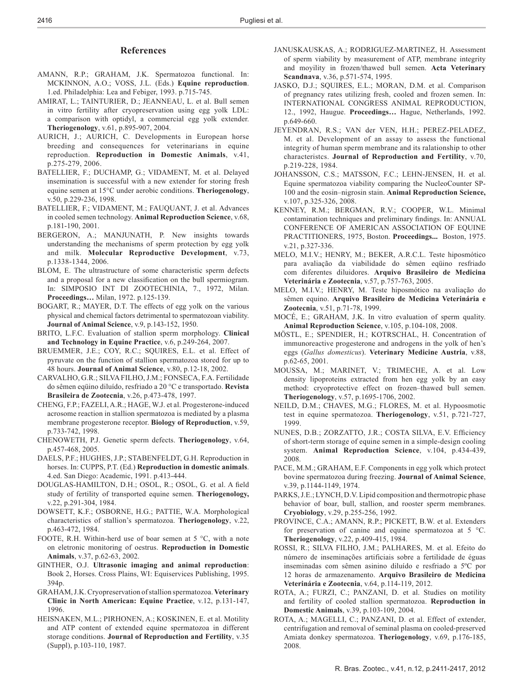#### **References**

- AMANN, R.P.; GRAHAM, J.K. Spermatozoa functional. In: MCKINNON, A.O.; VOSS, J.L. (Eds.) **Equine reproduction**. 1.ed. Philadelphia: Lea and Febiger, 1993. p.715-745.
- AMIRAT, L.; TAINTURIER, D.; JEANNEAU, L. et al. Bull semen in vitro fertility after cryopreservation using egg yolk LDL: a comparison with optidyl, a commercial egg yolk extender. **Theriogenology**, v.61, p.895-907, 2004.
- AURICH, J.; AURICH, C. Developments in European horse breeding and consequences for veterinarians in equine reproduction. **Reproduction in Domestic Animals**, v.41, p.275-279, 2006.
- BATELLIER, F.; DUCHAMP, G.; VIDAMENT, M. et al. Delayed insemination is successful with a new extender for storing fresh equine semen at 15°C under aerobic conditions. **Theriogenology**, v.50, p.229-236, 1998.
- BATELLIER, F.; VIDAMENT, M.; FAUQUANT, J. et al. Advances in cooled semen technology. **Animal Reproduction Science**, v.68, p.181-190, 2001.
- BERGERON, A.; MANJUNATH, P. New insights towards understanding the mechanisms of sperm protection by egg yolk and milk. **Molecular Reproductive Development**, v.73, p.1338-1344, 2006.
- BLOM, E. The ultrastructure of some characteristic sperm defects and a proposal for a new classification on the bull spermiogram. In: SIMPOSIO INT DI ZOOTECHINIA, 7., 1972, Milan. **Proceedings…** Milan, 1972. p.125-139.
- BOGART, R.; MAYER, D.T. The effects of egg yolk on the various physical and chemical factors detrimental to spermatozoan viability. **Journal of Animal Science**, v.9, p.143-152, 1950.
- BRITO, L.F.C. Evaluation of stallion sperm morphology. **Clinical and Technology in Equine Practice**, v.6, p.249-264, 2007.
- BRUEMMER, J.E.; COY, R.C.; SQUIRES, E.L. et al. Effect of pyruvate on the function of stallion spermatozoa stored for up to 48 hours. **Journal of Animal Science**, v.80, p.12-18, 2002.
- CARVALHO, G.R.; SILVA FILHO, J.M.; FONSECA, F.A. Fertilidade do sêmen eqüino diluído, resfriado a 20 °C e transportado. **Revista Brasileira de Zootecnia**, v.26, p.473-478, 1997.
- CHENG, F.P.; FAZELI, A.R.; HAGE, W.J. et al. Progesterone-induced acrosome reaction in stallion spermatozoa is mediated by a plasma membrane progesterone receptor. **Biology of Reproduction**, v.59, p.733-742, 1998.
- CHENOWETH, P.J. Genetic sperm defects. **Theriogenology**, v.64, p.457-468, 2005.
- DAELS, P.F.; HUGHES, J.P.; STABENFELDT, G.H. Reproduction in horses. In: CUPPS, P.T. (Ed.) **Reproduction in domestic animals**. 4.ed. San Diego: Academic, 1991. p.413-444.
- DOUGLAS-HAMILTON, D.H.; OSOL, R.; OSOL, G. et al. A field study of fertility of transported equine semen. **Theriogenology,** v.22, p.291-304, 1984.
- DOWSETT, K.F.; OSBORNE, H.G.; PATTIE, W.A. Morphological characteristics of stallion's spermatozoa. **Theriogenology**, v.22, p.463-472, 1984.
- FOOTE, R.H. Within-herd use of boar semen at 5 °C, with a note on eletronic monitoring of oestrus. **Reproduction in Domestic Animals**, v.37, p.62-63, 2002.
- GINTHER, O.J. **Ultrasonic imaging and animal reproduction**: Book 2, Horses. Cross Plains, WI: Equiservices Publishing, 1995. 394p.
- GRAHAM, J.K. Cryopreservation of stallion spermatozoa. **Veterinary Clinic in North American: Equine Practice**, v.12, p.131-147, 1996.
- HEISNAKEN, M.L.; PIRHONEN, A.; KOSKINEN, E. et al. Motility and ATP content of extended equine spermatozoa in different storage conditions. **Journal of Reproduction and Fertility**, v.35 (Suppl), p.103-110, 1987.
- JANUSKAUSKAS, A.; RODRIGUEZ-MARTINEZ, H. Assessment of sperm viability by measurement of ATP, membrane integrity and moyility in frozen/thawed bull semen. **Acta Veterinary Scandnava**, v.36, p.571-574, 1995.
- JASKO, D.J.; SQUIRES, E.L.; MORAN, D.M. et al. Comparison of pregnancy rates utilizing fresh, cooled and frozen semen. In: INTERNATIONAL CONGRESS ANIMAL REPRODUCTION, 12., 1992, Haugue. **Proceedings…** Hague, Netherlands, 1992. p.649-660.
- JEYENDRAN, R.S.; VAN der VEN, H.H.; PEREZ-PELADEZ, M. et al. Development of an assay to assess the functional integrity of human sperm membrane and its ralationship to other characteristcs. **Journal of Reproduction and Fertility**, v.70, p.219-228, 1984.
- JOHANSSON, C.S.; MATSSON, F.C.; LEHN-JENSEN, H. et al. Equine spermatozoa viability comparing the NucleoCounter SP-100 and the eosin–nigrosin stain. **Animal Reproduction Science,** v.107, p.325-326, 2008.
- KENNEY, R.M.; BERGMAN, R.V.; COOPER, W.L. Minimal contamination techniques and preliminary findings. In: ANNUAL CONFERENCE OF AMERICAN ASSOCIATION OF EQUINE PRACTITIONERS, 1975, Boston. **Proceedings...** Boston, 1975. v.21, p.327-336.
- MELO, M.I.V.; HENRY, M.; BEKER, A.R.C.L. Teste hiposmótico para avaliação da viabilidade do sêmen eqüino resfriado com diferentes diluidores. **Arquivo Brasileiro de Medicina Veterinária e Zootecnia**, v.57, p.757-763, 2005.
- MELO, M.I.V.; HENRY, M. Teste hiposmótico na avaliação do sêmen equino. **Arquivo Brasileiro de Medicina Veterinária e Zootecnia**, v.51, p.71-78, 1999.
- MOCÉ, E.; GRAHAM, J.K. In vitro evaluation of sperm quality. **Animal Reproduction Science**, v.105, p.104-108, 2008.
- MÖSTL, E.; SPENDIER, H.; KOTRSCHAL, H. Concentration of immunoreactive progesterone and androgens in the yolk of hen's eggs (*Gallus domesticus*). **Veterinary Medicine Austria**, v.88, p.62-65, 2001.
- MOUSSA, M.; MARINET, V.; TRIMECHE, A. et al. Low density lipoproteins extracted from hen egg yolk by an easy method: cryoprotective effect on frozen–thawed bull semen. **Theriogenology**, v.57, p.1695-1706, 2002.
- NEILD, D.M.; CHAVES, M.G.; FLORES, M. et al. Hypoosmotic test in equine spermatozoa. **Theriogenology**, v.51, p.721-727, 1999.
- NUNES, D.B.; ZORZATTO, J.R.; COSTA SILVA, E.V. Efficiency of short-term storage of equine semen in a simple-design cooling system. **Animal Reproduction Science**, v.104, p.434-439, 2008.
- PACE, M.M.; GRAHAM, E.F. Components in egg yolk which protect bovine spermatozoa during freezing. **Journal of Animal Science**, v.39, p.1144-1149, 1974.
- PARKS, J.E.; LYNCH, D.V. Lipid composition and thermotropic phase behavior of boar, bull, stallion, and rooster sperm membranes. **Cryobiology**, v.29, p.255-256, 1992.
- PROVINCE, C.A.; AMANN, R.P.; PICKETT, B.W. et al. Extenders for preservation of canine and equine spermatozoa at 5 °C. **Theriogenology**, v.22, p.409-415, 1984.
- ROSSI, R.; SILVA FILHO, J.M.; PALHARES, M. et al. Efeito do número de inseminações artificiais sobre a fertilidade de éguas inseminadas com sêmen asinino diluído e resfriado a 5ºC por 12 horas de armazenamento. **Arquivo Brasileiro de Medicina Veterinária e Zootecnia**, v.64, p.114-119, 2012.
- ROTA, A.; FURZI, C.; PANZANI, D. et al. Studies on motility and fertility of cooled stallion spermatozoa. **Reproduction in Domestic Animals**, v.39, p.103-109, 2004.
- ROTA, A.; MAGELLI, C.; PANZANI, D. et al. Effect of extender, centrifugation and removal of seminal plasma on cooled-preserved Amiata donkey spermatozoa. **Theriogenology**, v.69, p.176-185, 2008.